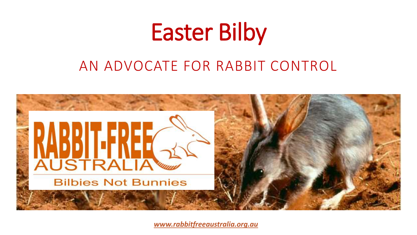

## AN ADVOCATE FOR RABBIT CONTROL



*[www.rabbitfreeaustralia.org.au](http://www.rabbitfreeaustralia.com.au/)*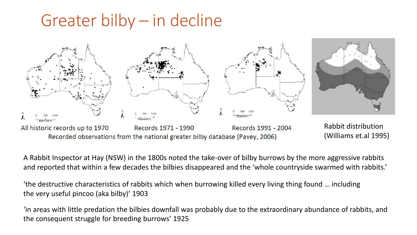# Greater bilby – in decline



A Rabbit Inspector at Hay (NSW) in the 1800s noted the take-over of bilby burrows by the more aggressive rabbits and reported that within a few decades the bilbies disappeared and the 'whole countryside swarmed with rabbits.'

'the destructive characteristics of rabbits which when burrowing killed every living thing found … including the very useful pincoo (aka bilby)' 1903

'in areas with little predation the bilbies downfall was probably due to the extraordinary abundance of rabbits, and the consequent struggle for breeding burrows' 1925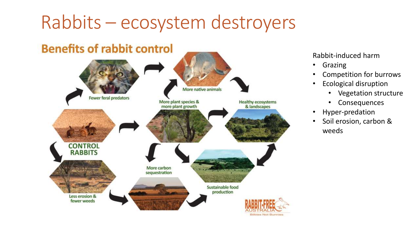# Rabbits – ecosystem destroyers



#### Rabbit-induced harm

- Grazing
- Competition for burrows
- Ecological disruption
	- Vegetation structure
	- Consequences
- Hyper-predation
- Soil erosion, carbon & weeds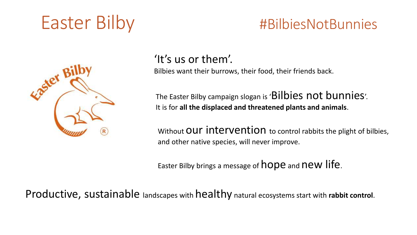

### 'It's us or them'.

Bilbies want their burrows, their food, their friends back.

The Easter Bilby campaign slogan is 'Bilbies not bunnies'. It is for **all the displaced and threatened plants and animals**.

Without OUT INTERVENTION to control rabbits the plight of bilbies, and other native species, will never improve.

Easter Bilby brings a message of hope and new life.

Productive, sustainable landscapes with healthy natural ecosystems start with **rabbit control**.

# Easter Bilby #BilbiesNotBunnies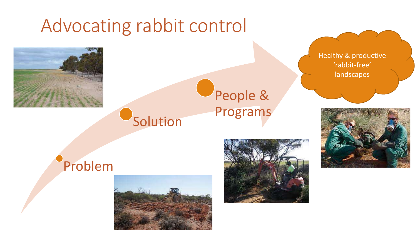# Advocating rabbit control



## **Solution** People & Programs

Healthy & productive 'rabbit-free' landscapes



## Problem



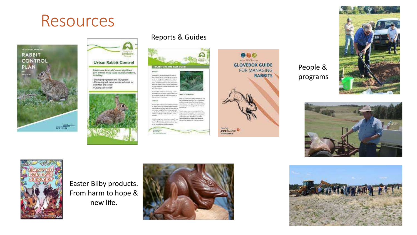## Resources





· Destroying vegetation and your garden<br>• Competing with rustive animals and stock for beth food and shelter · Causing soil erosion



#### Reports & Guides

BANDOY

and increase.

HARITAT

an a

 $\begin{array}{l} \mbox{For the case}\\ \mbox{trivial,}\\ \mbox{for all }m\end{array}$ 



People & programs

**RABBITS** 







Easter Bilby products. From harm to hope & new life.